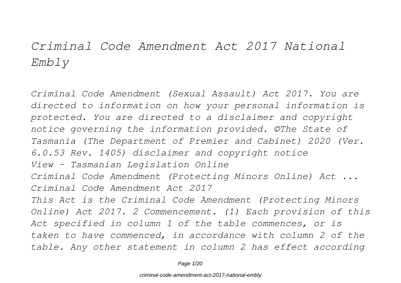# *Criminal Code Amendment Act 2017 National Embly*

*Criminal Code Amendment (Sexual Assault) Act 2017. You are directed to information on how your personal information is protected. You are directed to a disclaimer and copyright notice governing the information provided. ©The State of Tasmania (The Department of Premier and Cabinet) 2020 (Ver. 6.0.53 Rev. 1405) disclaimer and copyright notice View - Tasmanian Legislation Online Criminal Code Amendment (Protecting Minors Online) Act ... Criminal Code Amendment Act 2017 This Act is the Criminal Code Amendment (Protecting Minors Online) Act 2017. 2 Commencement. (1) Each provision of this Act specified in column 1 of the table commences, or is taken to have commenced, in accordance with column 2 of the table. Any other statement in column 2 has effect according*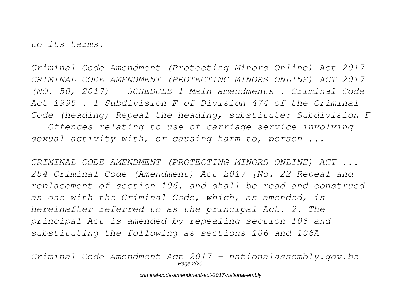*to its terms.*

*Criminal Code Amendment (Protecting Minors Online) Act 2017 CRIMINAL CODE AMENDMENT (PROTECTING MINORS ONLINE) ACT 2017 (NO. 50, 2017) - SCHEDULE 1 Main amendments . Criminal Code Act 1995 . 1 Subdivision F of Division 474 of the Criminal Code (heading) Repeal the heading, substitute: Subdivision F -- Offences relating to use of carriage service involving sexual activity with, or causing harm to, person ...*

*CRIMINAL CODE AMENDMENT (PROTECTING MINORS ONLINE) ACT ... 254 Criminal Code (Amendment) Act 2017 [No. 22 Repeal and replacement of section 106. and shall be read and construed as one with the Criminal Code, which, as amended, is hereinafter referred to as the principal Act. 2. The principal Act is amended by repealing section 106 and substituting the following as sections 106 and 106A –*

*Criminal Code Amendment Act 2017 - nationalassembly.gov.bz* Page 2/20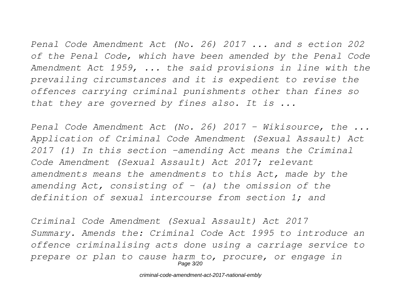*Penal Code Amendment Act (No. 26) 2017 ... and s ection 202 of the Penal Code, which have been amended by the Penal Code Amendment Act 1959, ... the said provisions in line with the prevailing circumstances and it is expedient to revise the offences carrying criminal punishments other than fines so that they are governed by fines also. It is ...*

*Penal Code Amendment Act (No. 26) 2017 - Wikisource, the ... Application of Criminal Code Amendment (Sexual Assault) Act 2017 (1) In this section –amending Act means the Criminal Code Amendment (Sexual Assault) Act 2017; relevant amendments means the amendments to this Act, made by the amending Act, consisting of – (a) the omission of the definition of sexual intercourse from section 1; and*

*Criminal Code Amendment (Sexual Assault) Act 2017 Summary. Amends the: Criminal Code Act 1995 to introduce an offence criminalising acts done using a carriage service to prepare or plan to cause harm to, procure, or engage in* Page 3/20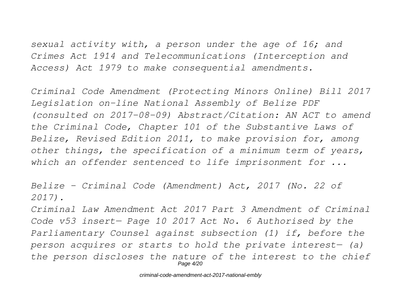*sexual activity with, a person under the age of 16; and Crimes Act 1914 and Telecommunications (Interception and Access) Act 1979 to make consequential amendments.*

*Criminal Code Amendment (Protecting Minors Online) Bill 2017 Legislation on-line National Assembly of Belize PDF (consulted on 2017-08-09) Abstract/Citation: AN ACT to amend the Criminal Code, Chapter 101 of the Substantive Laws of Belize, Revised Edition 2011, to make provision for, among other things, the specification of a minimum term of years, which an offender sentenced to life imprisonment for ...*

*Belize - Criminal Code (Amendment) Act, 2017 (No. 22 of 2017).*

*Criminal Law Amendment Act 2017 Part 3 Amendment of Criminal Code v53 insert— Page 10 2017 Act No. 6 Authorised by the Parliamentary Counsel against subsection (1) if, before the person acquires or starts to hold the private interest— (a) the person discloses the nature of the interest to the chief* Page 4/20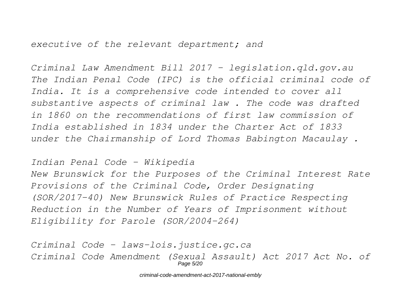*executive of the relevant department; and*

*Criminal Law Amendment Bill 2017 - legislation.qld.gov.au The Indian Penal Code (IPC) is the official criminal code of India. It is a comprehensive code intended to cover all substantive aspects of criminal law . The code was drafted in 1860 on the recommendations of first law commission of India established in 1834 under the Charter Act of 1833 under the Chairmanship of Lord Thomas Babington Macaulay .*

*Indian Penal Code - Wikipedia New Brunswick for the Purposes of the Criminal Interest Rate Provisions of the Criminal Code, Order Designating (SOR/2017-40) New Brunswick Rules of Practice Respecting Reduction in the Number of Years of Imprisonment without Eligibility for Parole (SOR/2004-264)*

*Criminal Code - laws-lois.justice.gc.ca Criminal Code Amendment (Sexual Assault) Act 2017 Act No. of* Page 5/20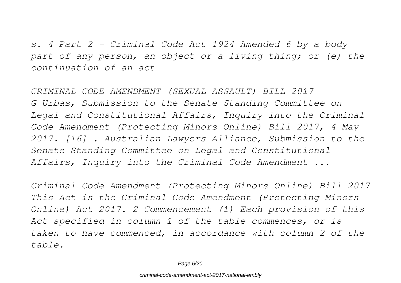*s. 4 Part 2 – Criminal Code Act 1924 Amended 6 by a body part of any person, an object or a living thing; or (e) the continuation of an act*

*CRIMINAL CODE AMENDMENT (SEXUAL ASSAULT) BILL 2017 G Urbas, Submission to the Senate Standing Committee on Legal and Constitutional Affairs, Inquiry into the Criminal Code Amendment (Protecting Minors Online) Bill 2017, 4 May 2017. [16] . Australian Lawyers Alliance, Submission to the Senate Standing Committee on Legal and Constitutional Affairs, Inquiry into the Criminal Code Amendment ...*

*Criminal Code Amendment (Protecting Minors Online) Bill 2017 This Act is the Criminal Code Amendment (Protecting Minors Online) Act 2017. 2 Commencement (1) Each provision of this Act specified in column 1 of the table commences, or is taken to have commenced, in accordance with column 2 of the table.*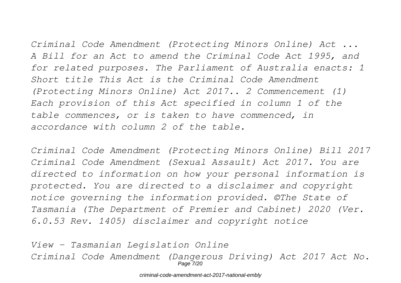*Criminal Code Amendment (Protecting Minors Online) Act ... A Bill for an Act to amend the Criminal Code Act 1995, and for related purposes. The Parliament of Australia enacts: 1*

*Short title This Act is the Criminal Code Amendment (Protecting Minors Online) Act 2017.. 2 Commencement (1) Each provision of this Act specified in column 1 of the table commences, or is taken to have commenced, in accordance with column 2 of the table.*

*Criminal Code Amendment (Protecting Minors Online) Bill 2017 Criminal Code Amendment (Sexual Assault) Act 2017. You are directed to information on how your personal information is protected. You are directed to a disclaimer and copyright notice governing the information provided. ©The State of Tasmania (The Department of Premier and Cabinet) 2020 (Ver. 6.0.53 Rev. 1405) disclaimer and copyright notice*

*View - Tasmanian Legislation Online Criminal Code Amendment (Dangerous Driving) Act 2017 Act No.* Page 7/20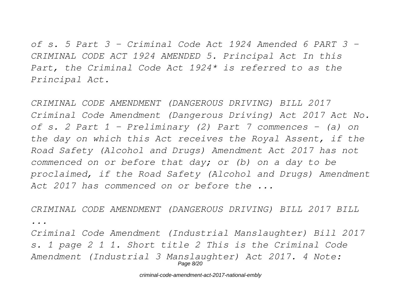*of s. 5 Part 3 – Criminal Code Act 1924 Amended 6 PART 3 – CRIMINAL CODE ACT 1924 AMENDED 5. Principal Act In this Part, the Criminal Code Act 1924\* is referred to as the Principal Act.*

*CRIMINAL CODE AMENDMENT (DANGEROUS DRIVING) BILL 2017 Criminal Code Amendment (Dangerous Driving) Act 2017 Act No. of s. 2 Part 1 - Preliminary (2) Part 7 commences - (a) on the day on which this Act receives the Royal Assent, if the Road Safety (Alcohol and Drugs) Amendment Act 2017 has not commenced on or before that day; or (b) on a day to be proclaimed, if the Road Safety (Alcohol and Drugs) Amendment Act 2017 has commenced on or before the ...*

*CRIMINAL CODE AMENDMENT (DANGEROUS DRIVING) BILL 2017 BILL ...*

*Criminal Code Amendment (Industrial Manslaughter) Bill 2017 s. 1 page 2 1 1. Short title 2 This is the Criminal Code Amendment (Industrial 3 Manslaughter) Act 2017. 4 Note:* Page 8/20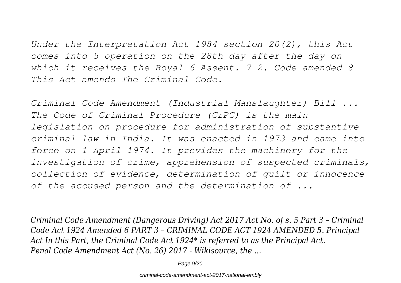*Under the Interpretation Act 1984 section 20(2), this Act comes into 5 operation on the 28th day after the day on which it receives the Royal 6 Assent. 7 2. Code amended 8 This Act amends The Criminal Code.*

*Criminal Code Amendment (Industrial Manslaughter) Bill ... The Code of Criminal Procedure (CrPC) is the main legislation on procedure for administration of substantive criminal law in India. It was enacted in 1973 and came into force on 1 April 1974. It provides the machinery for the investigation of crime, apprehension of suspected criminals, collection of evidence, determination of guilt or innocence of the accused person and the determination of ...*

*Criminal Code Amendment (Dangerous Driving) Act 2017 Act No. of s. 5 Part 3 – Criminal Code Act 1924 Amended 6 PART 3 – CRIMINAL CODE ACT 1924 AMENDED 5. Principal Act In this Part, the Criminal Code Act 1924\* is referred to as the Principal Act. Penal Code Amendment Act (No. 26) 2017 - Wikisource, the ...*

Page 9/20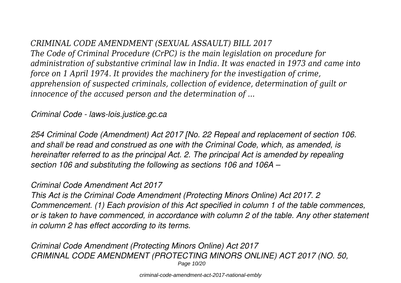### *CRIMINAL CODE AMENDMENT (SEXUAL ASSAULT) BILL 2017*

*The Code of Criminal Procedure (CrPC) is the main legislation on procedure for administration of substantive criminal law in India. It was enacted in 1973 and came into force on 1 April 1974. It provides the machinery for the investigation of crime, apprehension of suspected criminals, collection of evidence, determination of guilt or innocence of the accused person and the determination of ...*

*Criminal Code - laws-lois.justice.gc.ca*

*254 Criminal Code (Amendment) Act 2017 [No. 22 Repeal and replacement of section 106. and shall be read and construed as one with the Criminal Code, which, as amended, is hereinafter referred to as the principal Act. 2. The principal Act is amended by repealing section 106 and substituting the following as sections 106 and 106A –*

#### *Criminal Code Amendment Act 2017*

*This Act is the Criminal Code Amendment (Protecting Minors Online) Act 2017. 2 Commencement. (1) Each provision of this Act specified in column 1 of the table commences, or is taken to have commenced, in accordance with column 2 of the table. Any other statement in column 2 has effect according to its terms.*

*Criminal Code Amendment (Protecting Minors Online) Act 2017 CRIMINAL CODE AMENDMENT (PROTECTING MINORS ONLINE) ACT 2017 (NO. 50,* Page 10/20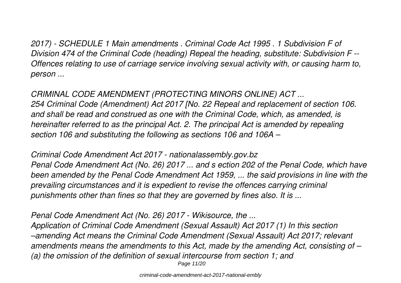*2017) - SCHEDULE 1 Main amendments . Criminal Code Act 1995 . 1 Subdivision F of Division 474 of the Criminal Code (heading) Repeal the heading, substitute: Subdivision F -- Offences relating to use of carriage service involving sexual activity with, or causing harm to, person ...*

*CRIMINAL CODE AMENDMENT (PROTECTING MINORS ONLINE) ACT ... 254 Criminal Code (Amendment) Act 2017 [No. 22 Repeal and replacement of section 106. and shall be read and construed as one with the Criminal Code, which, as amended, is hereinafter referred to as the principal Act. 2. The principal Act is amended by repealing section 106 and substituting the following as sections 106 and 106A –*

*Criminal Code Amendment Act 2017 - nationalassembly.gov.bz Penal Code Amendment Act (No. 26) 2017 ... and s ection 202 of the Penal Code, which have been amended by the Penal Code Amendment Act 1959, ... the said provisions in line with the prevailing circumstances and it is expedient to revise the offences carrying criminal punishments other than fines so that they are governed by fines also. It is ...*

*Penal Code Amendment Act (No. 26) 2017 - Wikisource, the ... Application of Criminal Code Amendment (Sexual Assault) Act 2017 (1) In this section –amending Act means the Criminal Code Amendment (Sexual Assault) Act 2017; relevant amendments means the amendments to this Act, made by the amending Act, consisting of – (a) the omission of the definition of sexual intercourse from section 1; and* Page 11/20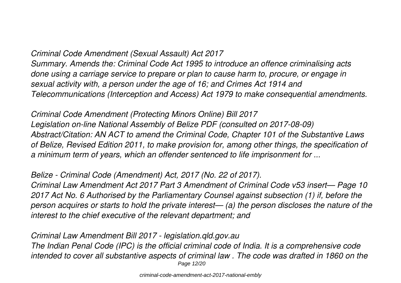#### *Criminal Code Amendment (Sexual Assault) Act 2017*

*Summary. Amends the: Criminal Code Act 1995 to introduce an offence criminalising acts done using a carriage service to prepare or plan to cause harm to, procure, or engage in sexual activity with, a person under the age of 16; and Crimes Act 1914 and Telecommunications (Interception and Access) Act 1979 to make consequential amendments.*

*Criminal Code Amendment (Protecting Minors Online) Bill 2017 Legislation on-line National Assembly of Belize PDF (consulted on 2017-08-09) Abstract/Citation: AN ACT to amend the Criminal Code, Chapter 101 of the Substantive Laws of Belize, Revised Edition 2011, to make provision for, among other things, the specification of a minimum term of years, which an offender sentenced to life imprisonment for ...*

*Belize - Criminal Code (Amendment) Act, 2017 (No. 22 of 2017). Criminal Law Amendment Act 2017 Part 3 Amendment of Criminal Code v53 insert— Page 10 2017 Act No. 6 Authorised by the Parliamentary Counsel against subsection (1) if, before the person acquires or starts to hold the private interest— (a) the person discloses the nature of the interest to the chief executive of the relevant department; and*

*Criminal Law Amendment Bill 2017 - legislation.qld.gov.au The Indian Penal Code (IPC) is the official criminal code of India. It is a comprehensive code intended to cover all substantive aspects of criminal law . The code was drafted in 1860 on the* Page 12/20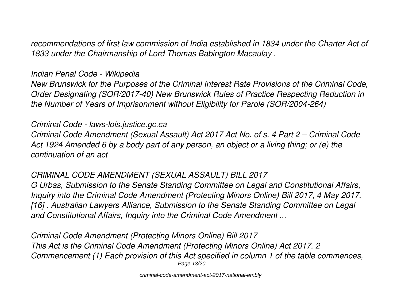*recommendations of first law commission of India established in 1834 under the Charter Act of 1833 under the Chairmanship of Lord Thomas Babington Macaulay .*

#### *Indian Penal Code - Wikipedia*

*New Brunswick for the Purposes of the Criminal Interest Rate Provisions of the Criminal Code, Order Designating (SOR/2017-40) New Brunswick Rules of Practice Respecting Reduction in the Number of Years of Imprisonment without Eligibility for Parole (SOR/2004-264)*

#### *Criminal Code - laws-lois.justice.gc.ca*

*Criminal Code Amendment (Sexual Assault) Act 2017 Act No. of s. 4 Part 2 – Criminal Code Act 1924 Amended 6 by a body part of any person, an object or a living thing; or (e) the continuation of an act*

#### *CRIMINAL CODE AMENDMENT (SEXUAL ASSAULT) BILL 2017*

*G Urbas, Submission to the Senate Standing Committee on Legal and Constitutional Affairs, Inquiry into the Criminal Code Amendment (Protecting Minors Online) Bill 2017, 4 May 2017. [16] . Australian Lawyers Alliance, Submission to the Senate Standing Committee on Legal and Constitutional Affairs, Inquiry into the Criminal Code Amendment ...*

*Criminal Code Amendment (Protecting Minors Online) Bill 2017 This Act is the Criminal Code Amendment (Protecting Minors Online) Act 2017. 2 Commencement (1) Each provision of this Act specified in column 1 of the table commences,* Page 13/20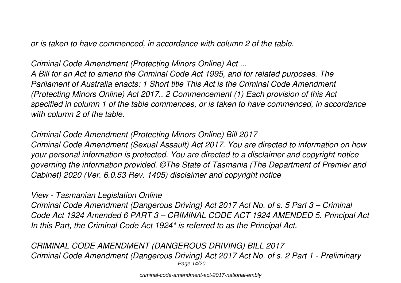*or is taken to have commenced, in accordance with column 2 of the table.*

*Criminal Code Amendment (Protecting Minors Online) Act ...*

*A Bill for an Act to amend the Criminal Code Act 1995, and for related purposes. The Parliament of Australia enacts: 1 Short title This Act is the Criminal Code Amendment (Protecting Minors Online) Act 2017.. 2 Commencement (1) Each provision of this Act specified in column 1 of the table commences, or is taken to have commenced, in accordance with column 2 of the table.*

*Criminal Code Amendment (Protecting Minors Online) Bill 2017 Criminal Code Amendment (Sexual Assault) Act 2017. You are directed to information on how your personal information is protected. You are directed to a disclaimer and copyright notice governing the information provided. ©The State of Tasmania (The Department of Premier and Cabinet) 2020 (Ver. 6.0.53 Rev. 1405) disclaimer and copyright notice*

*View - Tasmanian Legislation Online*

*Criminal Code Amendment (Dangerous Driving) Act 2017 Act No. of s. 5 Part 3 – Criminal Code Act 1924 Amended 6 PART 3 – CRIMINAL CODE ACT 1924 AMENDED 5. Principal Act In this Part, the Criminal Code Act 1924\* is referred to as the Principal Act.*

*CRIMINAL CODE AMENDMENT (DANGEROUS DRIVING) BILL 2017 Criminal Code Amendment (Dangerous Driving) Act 2017 Act No. of s. 2 Part 1 - Preliminary* Page 14/20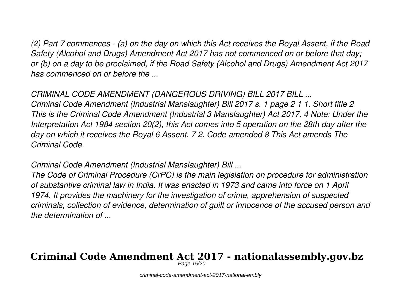*(2) Part 7 commences - (a) on the day on which this Act receives the Royal Assent, if the Road Safety (Alcohol and Drugs) Amendment Act 2017 has not commenced on or before that day; or (b) on a day to be proclaimed, if the Road Safety (Alcohol and Drugs) Amendment Act 2017 has commenced on or before the ...*

#### *CRIMINAL CODE AMENDMENT (DANGEROUS DRIVING) BILL 2017 BILL ...*

*Criminal Code Amendment (Industrial Manslaughter) Bill 2017 s. 1 page 2 1 1. Short title 2 This is the Criminal Code Amendment (Industrial 3 Manslaughter) Act 2017. 4 Note: Under the Interpretation Act 1984 section 20(2), this Act comes into 5 operation on the 28th day after the day on which it receives the Royal 6 Assent. 7 2. Code amended 8 This Act amends The Criminal Code.*

*Criminal Code Amendment (Industrial Manslaughter) Bill ...*

*The Code of Criminal Procedure (CrPC) is the main legislation on procedure for administration of substantive criminal law in India. It was enacted in 1973 and came into force on 1 April 1974. It provides the machinery for the investigation of crime, apprehension of suspected criminals, collection of evidence, determination of guilt or innocence of the accused person and the determination of ...*

## **Criminal Code Amendment Act 2017 - nationalassembly.gov.bz**

Page 15/20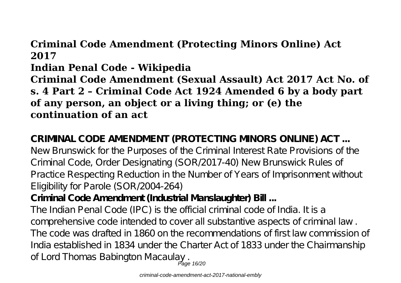## **Criminal Code Amendment (Protecting Minors Online) Act 2017**

**Indian Penal Code - Wikipedia**

**Criminal Code Amendment (Sexual Assault) Act 2017 Act No. of s. 4 Part 2 – Criminal Code Act 1924 Amended 6 by a body part of any person, an object or a living thing; or (e) the continuation of an act**

**CRIMINAL CODE AMENDMENT (PROTECTING MINORS ONLINE) ACT ...** New Brunswick for the Purposes of the Criminal Interest Rate Provisions of the Criminal Code, Order Designating (SOR/2017-40) New Brunswick Rules of Practice Respecting Reduction in the Number of Years of Imprisonment without Eligibility for Parole (SOR/2004-264)

**Criminal Code Amendment (Industrial Manslaughter) Bill ...**

The Indian Penal Code (IPC) is the official criminal code of India. It is a comprehensive code intended to cover all substantive aspects of criminal law . The code was drafted in 1860 on the recommendations of first law commission of India established in 1834 under the Charter Act of 1833 under the Chairmanship of Lord Thomas Babington Macaulay<br>Page 16/20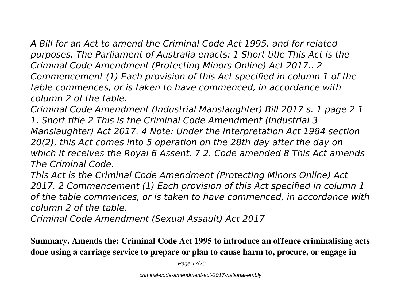*A Bill for an Act to amend the Criminal Code Act 1995, and for related purposes. The Parliament of Australia enacts: 1 Short title This Act is the Criminal Code Amendment (Protecting Minors Online) Act 2017.. 2 Commencement (1) Each provision of this Act specified in column 1 of the table commences, or is taken to have commenced, in accordance with column 2 of the table.*

*Criminal Code Amendment (Industrial Manslaughter) Bill 2017 s. 1 page 2 1 1. Short title 2 This is the Criminal Code Amendment (Industrial 3 Manslaughter) Act 2017. 4 Note: Under the Interpretation Act 1984 section 20(2), this Act comes into 5 operation on the 28th day after the day on which it receives the Royal 6 Assent. 7 2. Code amended 8 This Act amends The Criminal Code.*

*This Act is the Criminal Code Amendment (Protecting Minors Online) Act 2017. 2 Commencement (1) Each provision of this Act specified in column 1 of the table commences, or is taken to have commenced, in accordance with column 2 of the table.*

*Criminal Code Amendment (Sexual Assault) Act 2017*

**Summary. Amends the: Criminal Code Act 1995 to introduce an offence criminalising acts done using a carriage service to prepare or plan to cause harm to, procure, or engage in**

Page 17/20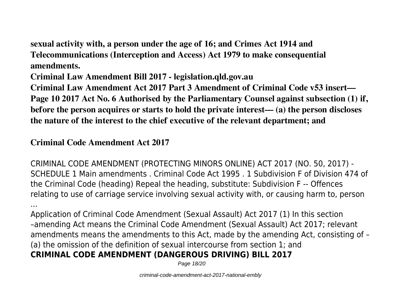**sexual activity with, a person under the age of 16; and Crimes Act 1914 and Telecommunications (Interception and Access) Act 1979 to make consequential amendments.**

**Criminal Law Amendment Bill 2017 - legislation.qld.gov.au**

**Criminal Law Amendment Act 2017 Part 3 Amendment of Criminal Code v53 insert— Page 10 2017 Act No. 6 Authorised by the Parliamentary Counsel against subsection (1) if, before the person acquires or starts to hold the private interest— (a) the person discloses the nature of the interest to the chief executive of the relevant department; and**

#### **Criminal Code Amendment Act 2017**

CRIMINAL CODE AMENDMENT (PROTECTING MINORS ONLINE) ACT 2017 (NO. 50, 2017) - SCHEDULE 1 Main amendments . Criminal Code Act 1995 . 1 Subdivision F of Division 474 of the Criminal Code (heading) Repeal the heading, substitute: Subdivision F -- Offences relating to use of carriage service involving sexual activity with, or causing harm to, person

... Application of Criminal Code Amendment (Sexual Assault) Act 2017 (1) In this section –amending Act means the Criminal Code Amendment (Sexual Assault) Act 2017; relevant amendments means the amendments to this Act, made by the amending Act, consisting of – (a) the omission of the definition of sexual intercourse from section 1; and **CRIMINAL CODE AMENDMENT (DANGEROUS DRIVING) BILL 2017**

Page 18/20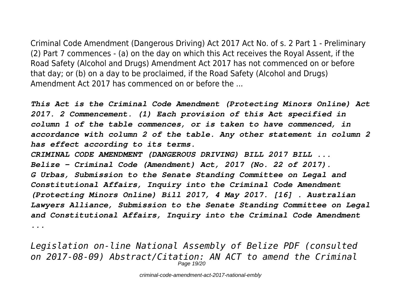Criminal Code Amendment (Dangerous Driving) Act 2017 Act No. of s. 2 Part 1 - Preliminary (2) Part 7 commences - (a) on the day on which this Act receives the Royal Assent, if the Road Safety (Alcohol and Drugs) Amendment Act 2017 has not commenced on or before that day; or (b) on a day to be proclaimed, if the Road Safety (Alcohol and Drugs) Amendment Act 2017 has commenced on or before the ...

*This Act is the Criminal Code Amendment (Protecting Minors Online) Act 2017. 2 Commencement. (1) Each provision of this Act specified in column 1 of the table commences, or is taken to have commenced, in accordance with column 2 of the table. Any other statement in column 2 has effect according to its terms. CRIMINAL CODE AMENDMENT (DANGEROUS DRIVING) BILL 2017 BILL ... Belize - Criminal Code (Amendment) Act, 2017 (No. 22 of 2017). G Urbas, Submission to the Senate Standing Committee on Legal and Constitutional Affairs, Inquiry into the Criminal Code Amendment (Protecting Minors Online) Bill 2017, 4 May 2017. [16] . Australian Lawyers Alliance, Submission to the Senate Standing Committee on Legal and Constitutional Affairs, Inquiry into the Criminal Code Amendment ...*

*Legislation on-line National Assembly of Belize PDF (consulted on 2017-08-09) Abstract/Citation: AN ACT to amend the Criminal* Page 19/20